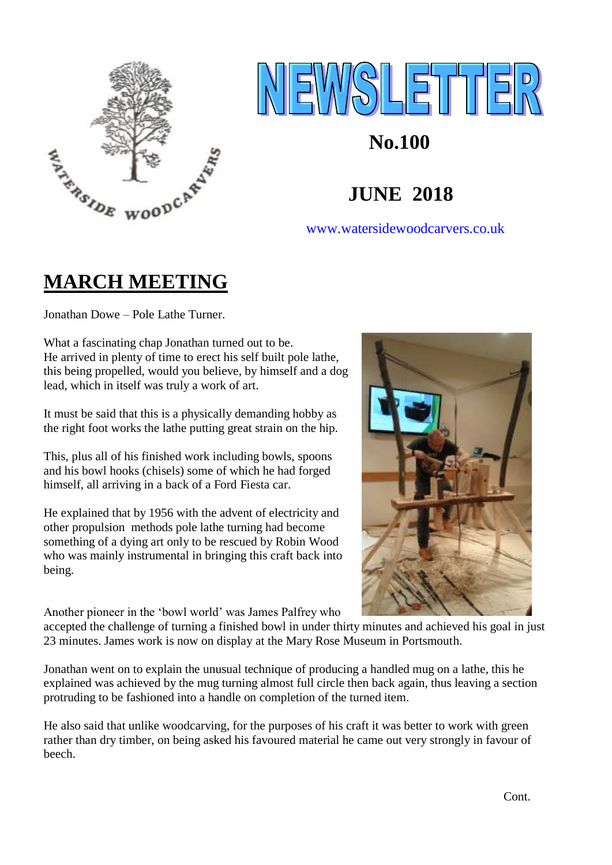



### [www.watersidewoodcarvers.co.uk](http://www.watersidewoodcarvers.co.uk/)

# **MARCH MEETING**

Jonathan Dowe – Pole Lathe Turner.

What a fascinating chap Jonathan turned out to be. He arrived in plenty of time to erect his self built pole lathe, this being propelled, would you believe, by himself and a dog lead, which in itself was truly a work of art.

It must be said that this is a physically demanding hobby as the right foot works the lathe putting great strain on the hip.

This, plus all of his finished work including bowls, spoons and his bowl hooks (chisels) some of which he had forged himself, all arriving in a back of a Ford Fiesta car.

He explained that by 1956 with the advent of electricity and other propulsion methods pole lathe turning had become something of a dying art only to be rescued by Robin Wood who was mainly instrumental in bringing this craft back into being.

Another pioneer in the 'bowl world' was James Palfrey who

accepted the challenge of turning a finished bowl in under thirty minutes and achieved his goal in just 23 minutes. James work is now on display at the Mary Rose Museum in Portsmouth.

Jonathan went on to explain the unusual technique of producing a handled mug on a lathe, this he explained was achieved by the mug turning almost full circle then back again, thus leaving a section protruding to be fashioned into a handle on completion of the turned item.

He also said that unlike woodcarving, for the purposes of his craft it was better to work with green rather than dry timber, on being asked his favoured material he came out very strongly in favour of beech.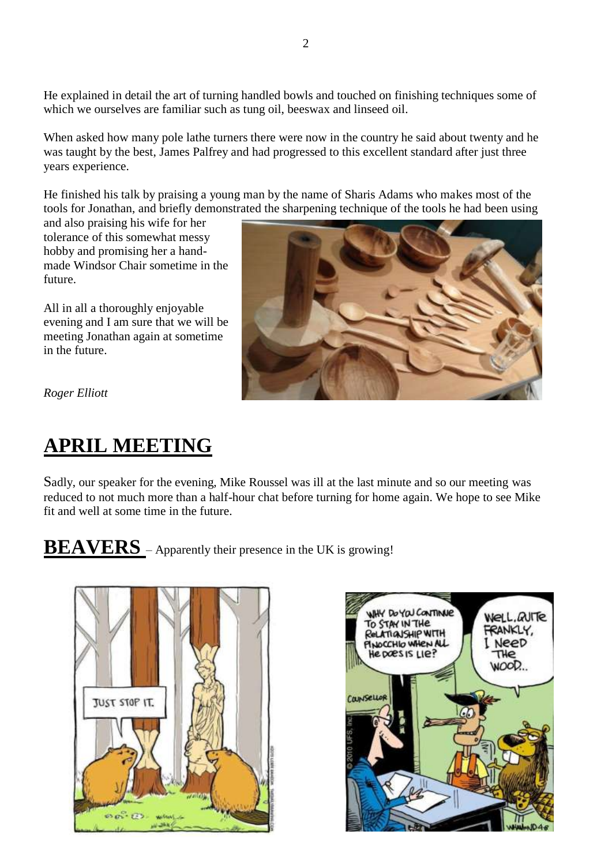He explained in detail the art of turning handled bowls and touched on finishing techniques some of which we ourselves are familiar such as tung oil, beeswax and linseed oil.

When asked how many pole lathe turners there were now in the country he said about twenty and he was taught by the best, James Palfrey and had progressed to this excellent standard after just three years experience.

He finished his talk by praising a young man by the name of Sharis Adams who makes most of the tools for Jonathan, and briefly demonstrated the sharpening technique of the tools he had been using

and also praising his wife for her tolerance of this somewhat messy hobby and promising her a handmade Windsor Chair sometime in the future.

All in all a thoroughly enjoyable evening and I am sure that we will be meeting Jonathan again at sometime in the future.



*Roger Elliott*

# **APRIL MEETING**

Sadly, our speaker for the evening, Mike Roussel was ill at the last minute and so our meeting was reduced to not much more than a half-hour chat before turning for home again. We hope to see Mike fit and well at some time in the future.

**BEAVERS** – Apparently their presence in the UK is growing!



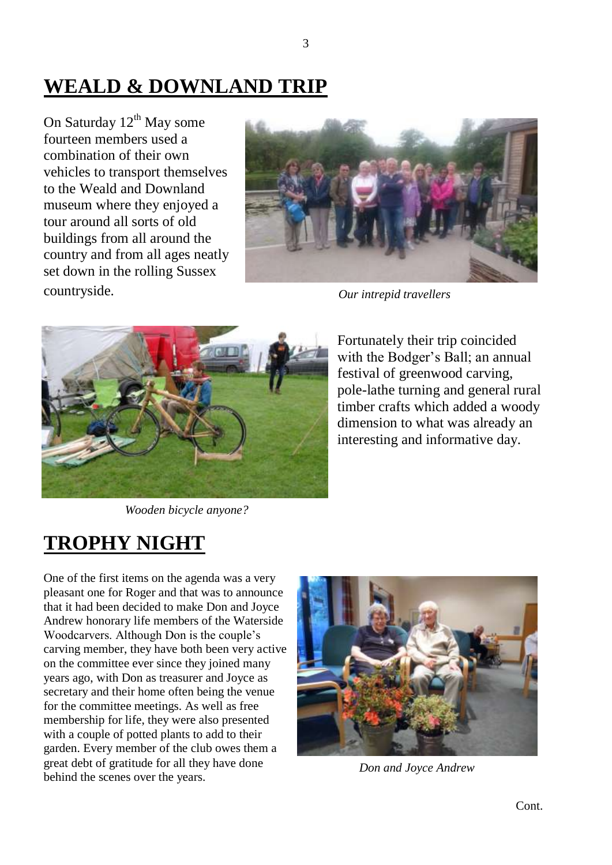# **WEALD & DOWNLAND TRIP**

On Saturday  $12^{th}$  May some fourteen members used a combination of their own vehicles to transport themselves to the Weald and Downland museum where they enjoyed a tour around all sorts of old buildings from all around the country and from all ages neatly set down in the rolling Sussex countryside.



*Our intrepid travellers*



Fortunately their trip coincided with the Bodger's Ball; an annual festival of greenwood carving, pole-lathe turning and general rural timber crafts which added a woody dimension to what was already an interesting and informative day.

 *Wooden bicycle anyone?*

## **TROPHY NIGHT**

One of the first items on the agenda was a very pleasant one for Roger and that was to announce that it had been decided to make Don and Joyce Andrew honorary life members of the Waterside Woodcarvers. Although Don is the couple's carving member, they have both been very active on the committee ever since they joined many years ago, with Don as treasurer and Joyce as secretary and their home often being the venue for the committee meetings. As well as free membership for life, they were also presented with a couple of potted plants to add to their garden. Every member of the club owes them a great debt of gratitude for all they have done behind the scenes over the years.



 *Don and Joyce Andrew*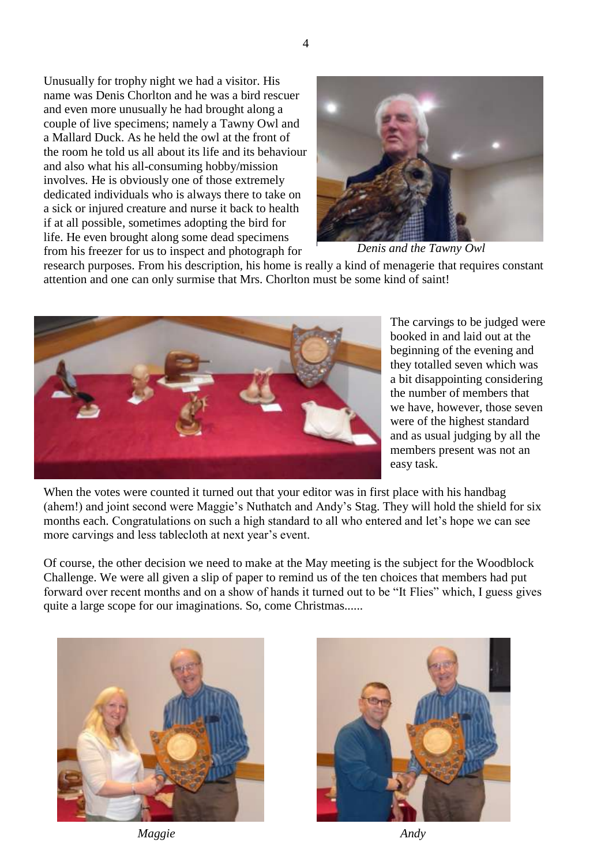Unusually for trophy night we had a visitor. His name was Denis Chorlton and he was a bird rescuer and even more unusually he had brought along a couple of live specimens; namely a Tawny Owl and a Mallard Duck. As he held the owl at the front of the room he told us all about its life and its behaviour and also what his all-consuming hobby/mission involves. He is obviously one of those extremely dedicated individuals who is always there to take on a sick or injured creature and nurse it back to health if at all possible, sometimes adopting the bird for life. He even brought along some dead specimens from his freezer for us to inspect and photograph for



 *Denis and the Tawny Owl*

research purposes. From his description, his home is really a kind of menagerie that requires constant attention and one can only surmise that Mrs. Chorlton must be some kind of saint!



The carvings to be judged were booked in and laid out at the beginning of the evening and they totalled seven which was a bit disappointing considering the number of members that we have, however, those seven were of the highest standard and as usual judging by all the members present was not an easy task.

When the votes were counted it turned out that your editor was in first place with his handbag (ahem!) and joint second were Maggie's Nuthatch and Andy's Stag. They will hold the shield for six months each. Congratulations on such a high standard to all who entered and let's hope we can see more carvings and less tablecloth at next year's event.

Of course, the other decision we need to make at the May meeting is the subject for the Woodblock Challenge. We were all given a slip of paper to remind us of the ten choices that members had put forward over recent months and on a show of hands it turned out to be "It Flies" which, I guess gives quite a large scope for our imaginations. So, come Christmas......